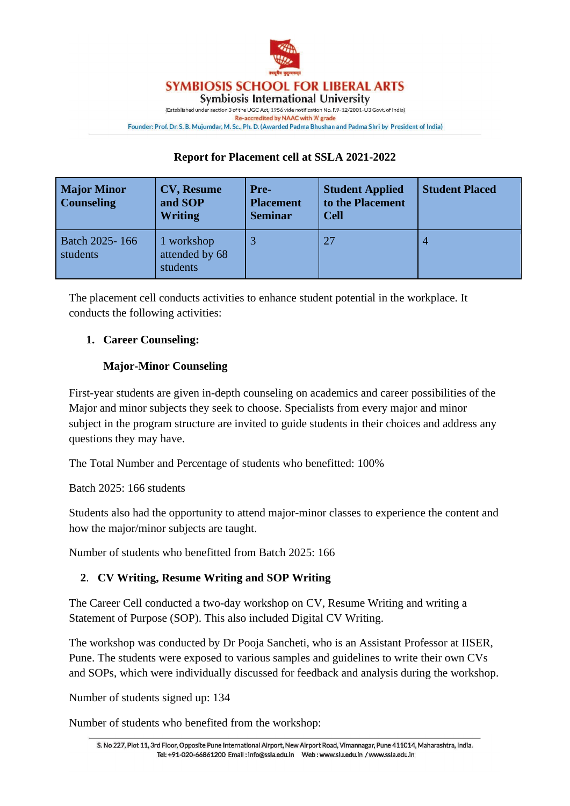

**Symbiosis International University** 

(Established under section 3 of the UGC Act, 1956 vide notification No. F.9-12/2001-U3 Govt. of India) Re-accredited by NAAC with 'A' grade Founder: Prof. Dr. S. B. Mujumdar, M. Sc., Ph. D. (Awarded Padma Bhushan and Padma Shri by President of India)

## **Report for Placement cell at SSLA 2021-2022**

| <b>Major Minor</b><br><b>Counseling</b> | <b>CV, Resume</b><br>and SOP<br><b>Writing</b> | <b>Pre-</b><br><b>Placement</b><br><b>Seminar</b> | <b>Student Applied</b><br>to the Placement<br><b>Cell</b> | <b>Student Placed</b> |
|-----------------------------------------|------------------------------------------------|---------------------------------------------------|-----------------------------------------------------------|-----------------------|
| Batch 2025-166<br>students              | 1 workshop<br>attended by 68<br>students       |                                                   | 27                                                        | 4                     |

The placement cell conducts activities to enhance student potential in the workplace. It conducts the following activities:

# **1. Career Counseling:**

# **Major-Minor Counseling**

First-year students are given in-depth counseling on academics and career possibilities of the Major and minor subjects they seek to choose. Specialists from every major and minor subject in the program structure are invited to guide students in their choices and address any questions they may have.

The Total Number and Percentage of students who benefitted: 100%

Batch 2025: 166 students

Students also had the opportunity to attend major-minor classes to experience the content and how the major/minor subjects are taught.

Number of students who benefitted from Batch 2025: 166

# **2**. **CV Writing, Resume Writing and SOP Writing**

The Career Cell conducted a two-day workshop on CV, Resume Writing and writing a Statement of Purpose (SOP). This also included Digital CV Writing.

The workshop was conducted by Dr Pooja Sancheti, who is an Assistant Professor at IISER, Pune. The students were exposed to various samples and guidelines to write their own CVs and SOPs, which were individually discussed for feedback and analysis during the workshop.

Number of students signed up: 134

Number of students who benefited from the workshop: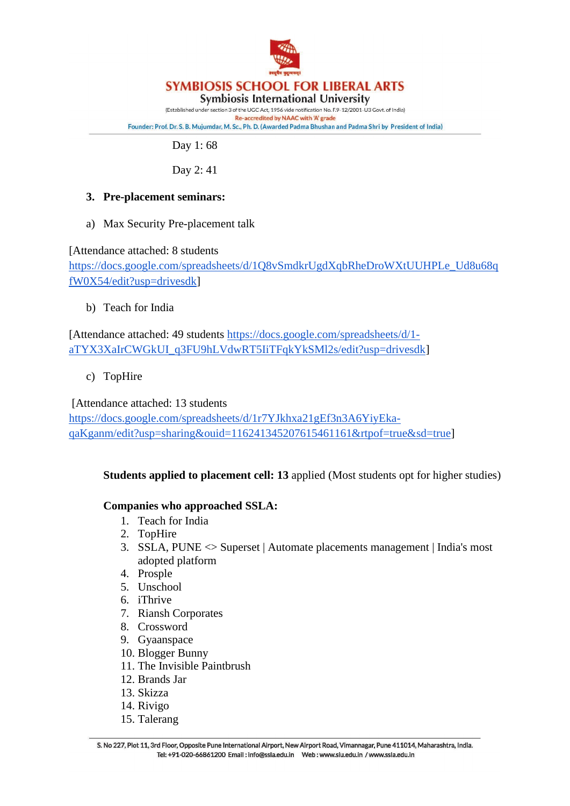

**Symbiosis International University** 

(Established under section 3 of the UGC Act, 1956 vide notification No. F.9-12/2001-U3 Govt. of India) Re-accredited by NAAC with 'A' grade Founder: Prof. Dr. S. B. Mujumdar, M. Sc., Ph. D. (Awarded Padma Bhushan and Padma Shri by President of India)

Day 1: 68

Day 2: 41

# **3. Pre-placement seminars:**

a) Max Security Pre-placement talk

[Attendance attached: 8 students

[https://docs.google.com/spreadsheets/d/1Q8vSmdkrUgdXqbRheDroWXtUUHPLe\\_Ud8u68q](https://docs.google.com/spreadsheets/d/1Q8vSmdkrUgdXqbRheDroWXtUUHPLe_Ud8u68qfW0X54/edit?usp=drivesdk) [fW0X54/edit?usp=drivesdk\]](https://docs.google.com/spreadsheets/d/1Q8vSmdkrUgdXqbRheDroWXtUUHPLe_Ud8u68qfW0X54/edit?usp=drivesdk)

b) Teach for India

[Attendance attached: 49 students [https://docs.google.com/spreadsheets/d/1](https://docs.google.com/spreadsheets/d/1-aTYX3XaIrCWGkUI_q3FU9hLVdwRT5IiTFqkYkSMl2s/edit?usp=drivesdk) [aTYX3XaIrCWGkUI\\_q3FU9hLVdwRT5IiTFqkYkSMl2s/edit?usp=drivesdk\]](https://docs.google.com/spreadsheets/d/1-aTYX3XaIrCWGkUI_q3FU9hLVdwRT5IiTFqkYkSMl2s/edit?usp=drivesdk)

c) TopHire

[Attendance attached: 13 students

[https://docs.google.com/spreadsheets/d/1r7YJkhxa21gEf3n3A6YiyEka](https://docs.google.com/spreadsheets/d/1r7YJkhxa21gEf3n3A6YiyEka-qaKganm/edit?usp=sharing&ouid=116241345207615461161&rtpof=true&sd=true)[qaKganm/edit?usp=sharing&ouid=116241345207615461161&rtpof=true&sd=true\]](https://docs.google.com/spreadsheets/d/1r7YJkhxa21gEf3n3A6YiyEka-qaKganm/edit?usp=sharing&ouid=116241345207615461161&rtpof=true&sd=true)

# **Students applied to placement cell: 13** applied (Most students opt for higher studies)

# **Companies who approached SSLA:**

- 1. Teach for India
- 2. TopHire
- 3. SSLA, PUNE <> Superset | Automate placements management | India's most adopted platform
- 4. Prosple
- 5. Unschool
- 6. iThrive
- 7. Riansh Corporates
- 8. Crossword
- 9. Gyaanspace
- 10. Blogger Bunny
- 11. The Invisible Paintbrush
- 12. Brands Jar
- 13. Skizza
- 14. Rivigo
- 15. Talerang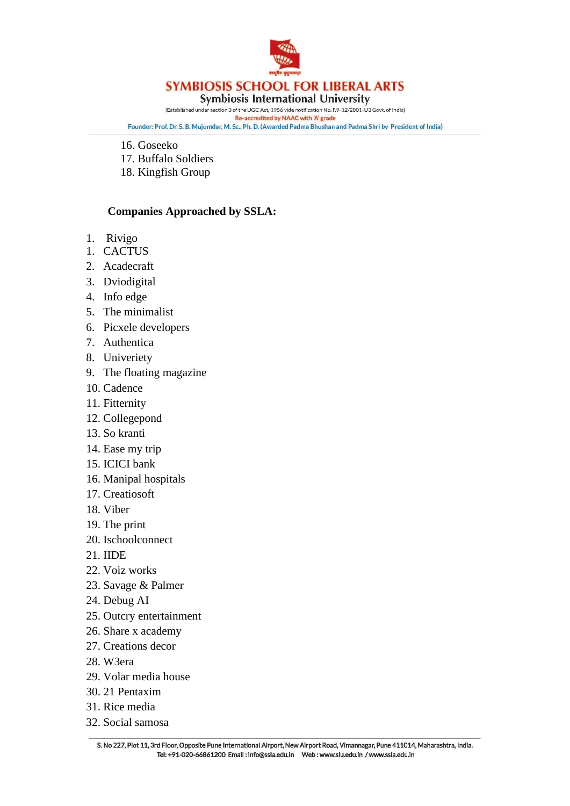

**Symbiosis International University** 

(Established under section 3 of the UGC Act, 1956 vide notification No. F.9-12/2001-U3 Govt. of India) Re-accredited by NAAC with 'A' grade Founder: Prof. Dr. S. B. Mujumdar, M. Sc., Ph. D. (Awarded Padma Bhushan and Padma Shri by President of India)

- 16. Goseeko
- 17. Buffalo Soldiers
- 18. Kingfish Group

#### **Companies Approached by SSLA:**

- 1. Rivigo
- 1. CACTUS
- 2. Acadecraft
- 3. Dviodigital
- 4. Info edge
- 5. The minimalist
- 6. Picxele developers
- 7. Authentica
- 8. Univeriety
- 9. The floating magazine
- 10. Cadence
- 11. Fitternity
- 12. Collegepond
- 13. So kranti
- 14. Ease my trip
- 15. ICICI bank
- 16. Manipal hospitals
- 17. Creatiosoft
- 18. Viber
- 19. The print
- 20. Ischoolconnect
- 21. IIDE
- 22. Voiz works
- 23. Savage & Palmer
- 24. Debug AI
- 25. Outcry entertainment
- 26. Share x academy
- 27. Creations decor
- 28. W3era
- 29. Volar media house
- 30. 21 Pentaxim
- 31. Rice media
- 32. Social samosa

S. No 227, Plot 11, 3rd Floor, Opposite Pune International Airport, New Airport Road, Vimannagar, Pune 411014, Maharashtra, India. Tel: +91-020-66861200 Email: info@ssla.edu.in Web: www.siu.edu.in / www.ssla.edu.in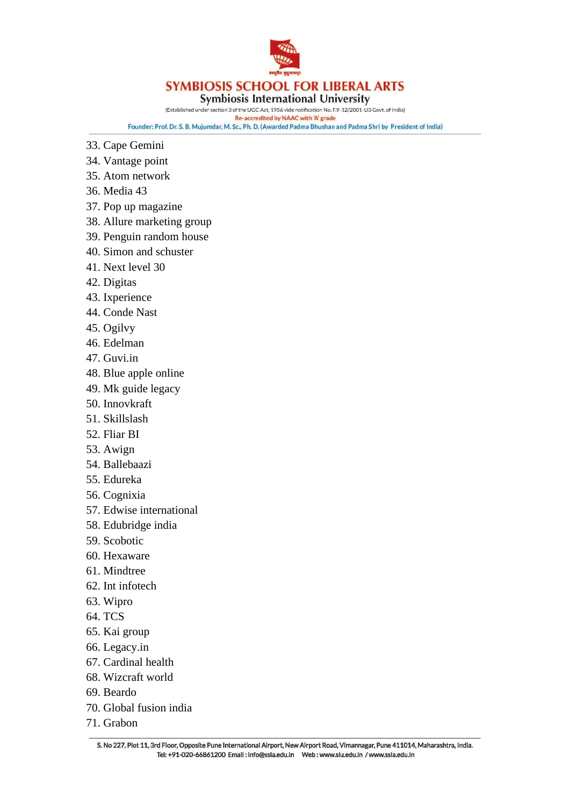

**Symbiosis International University** 

(Established under section 3 of the UGC Act, 1956 vide notification No. F.9-12/2001-U3 Govt. of India)

Re-accredited by NAAC with 'A' grade Founder: Prof. Dr. S. B. Mujumdar, M. Sc., Ph. D. (Awarded Padma Bhushan and Padma Shri by President of India)

- 33. Cape Gemini
- 34. Vantage point
- 35. Atom network
- 36. Media 43
- 37. Pop up magazine
- 38. Allure marketing group
- 39. Penguin random house
- 40. Simon and schuster
- 41. Next level 30
- 42. Digitas
- 43. Ixperience
- 44. Conde Nast
- 45. Ogilvy
- 46. Edelman
- 47. Guvi.in
- 48. Blue apple online
- 49. Mk guide legacy
- 50. Innovkraft
- 51. Skillslash
- 52. Fliar BI
- 53. Awign
- 54. Ballebaazi
- 55. Edureka
- 56. Cognixia
- 57. Edwise international
- 58. Edubridge india
- 59. Scobotic
- 60. Hexaware
- 61. Mindtree
- 62. Int infotech
- 63. Wipro
- 64. TCS
- 65. Kai group
- 66. Legacy.in
- 67. Cardinal health
- 68. Wizcraft world
- 69. Beardo
- 70. Global fusion india
- 71. Grabon

S. No 227, Plot 11, 3rd Floor, Opposite Pune International Airport, New Airport Road, Vimannagar, Pune 411014, Maharashtra, India. Tel: +91-020-66861200 Email: info@ssla.edu.in Web: www.siu.edu.in / www.ssla.edu.in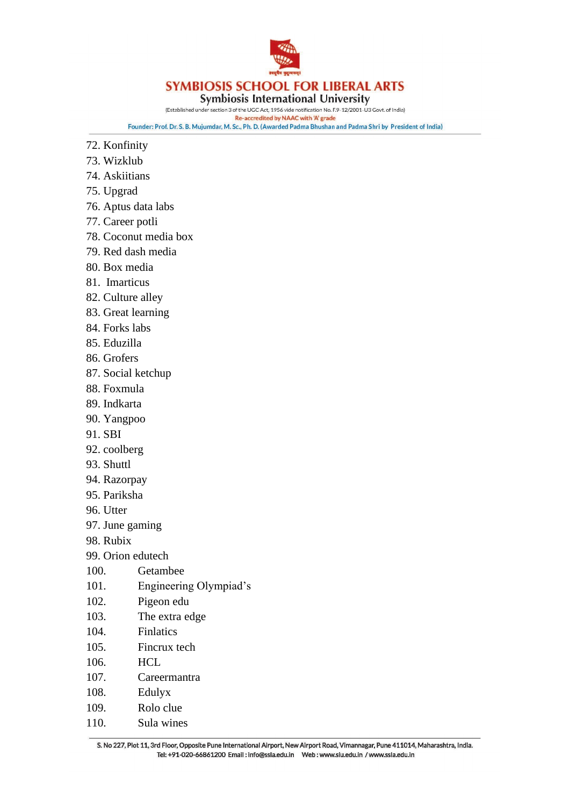

**Symbiosis International University** 

(Established under section 3 of the UGC Act, 1956 vide notification No. F.9-12/2001-U3 Govt. of India)

Re-accredited by NAAC with 'A' grade Founder: Prof. Dr. S. B. Mujumdar, M. Sc., Ph. D. (Awarded Padma Bhushan and Padma Shri by President of India)

- 72. Konfinity
- 73. Wizklub
- 74. Askiitians
- 75. Upgrad
- 76. Aptus data labs
- 77. Career potli
- 78. Coconut media box
- 79. Red dash media
- 80. Box media
- 81. Imarticus
- 82. Culture alley
- 83. Great learning
- 84. Forks labs
- 85. Eduzilla
- 86. Grofers
- 87. Social ketchup
- 88. Foxmula
- 89. Indkarta
- 90. Yangpoo
- 91. SBI
- 92. coolberg
- 93. Shuttl
- 94. Razorpay
- 95. Pariksha
- 96. Utter
- 97. June gaming
- 98. Rubix
- 99. Orion edutech
- 100. Getambee
- 101. Engineering Olympiad's
- 102. Pigeon edu
- 103. The extra edge
- 104. Finlatics
- 105. Fincrux tech
- 106. HCL
- 107. Careermantra
- 108. Edulyx
- 109. Rolo clue
- 110. Sula wines

S. No 227, Plot 11, 3rd Floor, Opposite Pune International Airport, New Airport Road, Vimannagar, Pune 411014, Maharashtra, India. Tel: +91-020-66861200 Email: info@ssla.edu.in Web: www.siu.edu.in / www.ssla.edu.in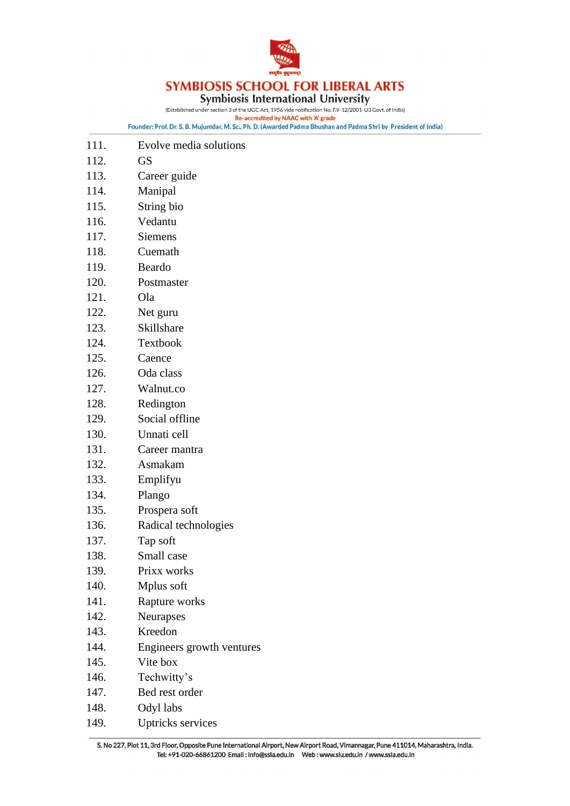

**Symbiosis International University** 

(Established under section 3 of the UGC Act, 1956 vide notification No. F.9-12/2001-U3 Govt. of India)

Re-accredited by NAAC with 'A' grade Founder: Prof. Dr. S. B. Mujumdar, M. Sc., Ph. D. (Awarded Padma Bhushan and Padma Shri by President of India)

- 111. Evolve media solutions
- 112. GS
- 113. Career guide
- 114. Manipal
- 115. String bio
- 116. Vedantu
- 117. Siemens
- 118. Cuemath
- 119. Beardo
- 120. Postmaster
- 121. Ola
- 122. Net guru
- 123. Skillshare
- 124. Textbook
- 125. Caence
- 126. Oda class
- 127. Walnut.co
- 128. Redington
- 129. Social offline
- 130. Unnati cell
- 131. Career mantra
- 132. Asmakam
- 133. Emplifyu
- 134. Plango
- 135. Prospera soft
- 136. Radical technologies
- 137. Tap soft
- 138. Small case
- 139. Prixx works
- 140. Mplus soft
- 141. Rapture works
- 142. Neurapses
- 143. Kreedon
- 144. Engineers growth ventures
- 145. Vite box
- 146. Techwitty's
- 147. Bed rest order
- 148. Odyl labs
- 149. Uptricks services

S. No 227, Plot 11, 3rd Floor, Opposite Pune International Airport, New Airport Road, Vimannagar, Pune 411014, Maharashtra, India. Tel: +91-020-66861200 Email: info@ssla.edu.in Web: www.siu.edu.in / www.ssla.edu.in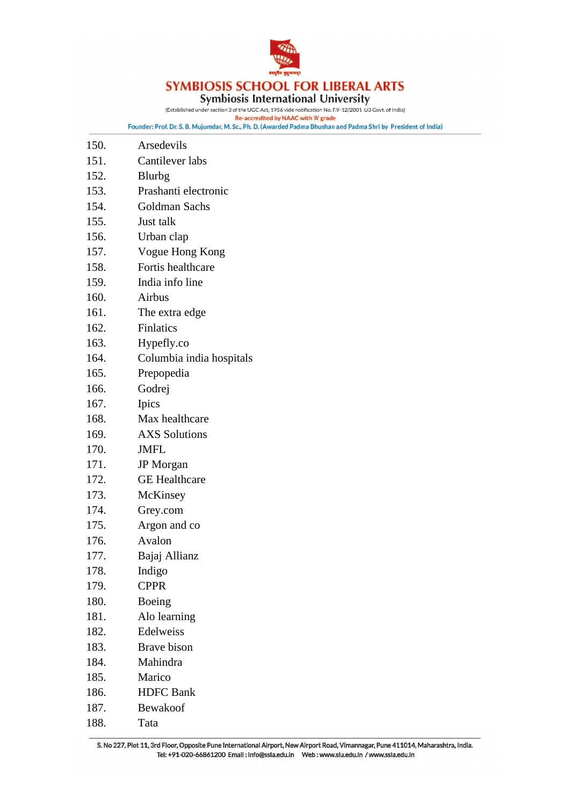

# **SYMBIOSIS SCHOOL FOR LIBERAL ARTS**<br>Symbiosis International University<br>(Established under section 3 of the UGCAct, 1956 vide notification No. F.9-12/2001-U3 Govt. of India)

Re-accredited by NAAC with 'A' grade Founder: Prof. Dr. S. B. Mujumdar, M. Sc., Ph. D. (Awarded Padma Bhushan and Padma Shri by President of India)

| 150. | Arsedevils               |
|------|--------------------------|
| 151. | Cantilever labs          |
| 152. | Blurbg                   |
| 153. | Prashanti electronic     |
| 154. | Goldman Sachs            |
| 155. | Just talk                |
| 156. | Urban clap               |
| 157. | Vogue Hong Kong          |
| 158. | Fortis healthcare        |
| 159. | India info line          |
| 160. | Airbus                   |
| 161. | The extra edge           |
| 162. | Finlatics                |
| 163. | Hypefly.co               |
| 164. | Columbia india hospitals |
| 165. | Prepopedia               |
| 166. | Godrej                   |
| 167. | Ipics                    |
| 168. | Max healthcare           |
| 169. | <b>AXS</b> Solutions     |
| 170. | <b>JMFL</b>              |
| 171. | JP Morgan                |
| 172. | <b>GE</b> Healthcare     |
| 173. | McKinsey                 |
| 174. | Grey.com                 |
| 175. | Argon and co             |
| 176. | Avalon                   |
| 177. | Bajaj Allianz            |
| 178. | Indigo                   |
| 179. | <b>CPPR</b>              |
| 180. | Boeing                   |
| 181. | Alo learning             |
| 182. | Edelweiss                |
| 183. | Brave bison              |
| 184. | Mahindra                 |
| 185. | Marico                   |
| 186. | <b>HDFC</b> Bank         |
| 187. | Bewakoof                 |
| 188. | Tata                     |

S. No 227, Plot 11, 3rd Floor, Opposite Pune International Airport, New Airport Road, Vimannagar, Pune 411014, Maharashtra, India. Tel: +91-020-66861200 Email : info@ssla.edu.in Web : www.siu.edu.in / www.ssla.edu.in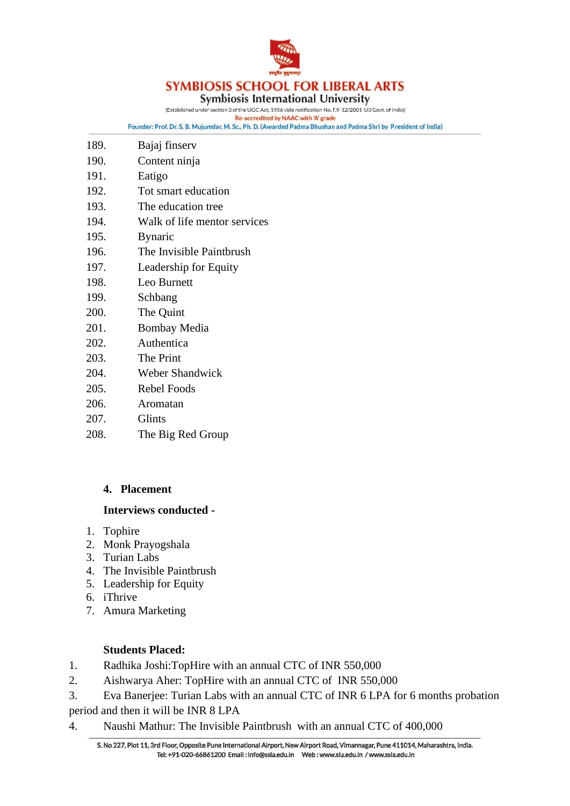

**Symbiosis International University** 

(Established under section 3 of the UGC Act, 1956 vide notification No. F.9-12/2001-U3 Govt. of India)

Re-accredited by NAAC with 'A' grade Founder: Prof. Dr. S. B. Mujumdar, M. Sc., Ph. D. (Awarded Padma Bhushan and Padma Shri by President of India)

| 189. | Bajaj finserv                |
|------|------------------------------|
| 190. | Content ninja                |
| 191. | Eatigo                       |
| 192. | Tot smart education          |
| 193. | The education tree           |
| 194. | Walk of life mentor services |
| 195. | <b>Bynaric</b>               |
| 196. | The Invisible Paintbrush     |
| 197. | Leadership for Equity        |
| 198. | Leo Burnett                  |
| 199. | Schbang                      |
| 200. | The Quint                    |
| 201. | <b>Bombay Media</b>          |
| 202. | Authentica                   |
| 203. | The Print                    |
| 204. | <b>Weber Shandwick</b>       |
| 205. | Rebel Foods                  |
| 206. | Aromatan                     |
| 207. | Glints                       |
| 208. | The Big Red Group            |
|      |                              |

# **4. Placement**

# **Interviews conducted -**

- 1. Tophire
- 2. Monk Prayogshala
- 3. Turian Labs
- 4. The Invisible Paintbrush
- 5. Leadership for Equity
- 6. iThrive
- 7. Amura Marketing

# **Students Placed:**

- 1. Radhika Joshi:TopHire with an annual CTC of INR 550,000
- 2. Aishwarya Aher: TopHire with an annual CTC of INR 550,000
- 3. Eva Banerjee: Turian Labs with an annual CTC of INR 6 LPA for 6 months probation period and then it will be INR 8 LPA
- 4. Naushi Mathur: The Invisible Paintbrush with an annual CTC of 400,000